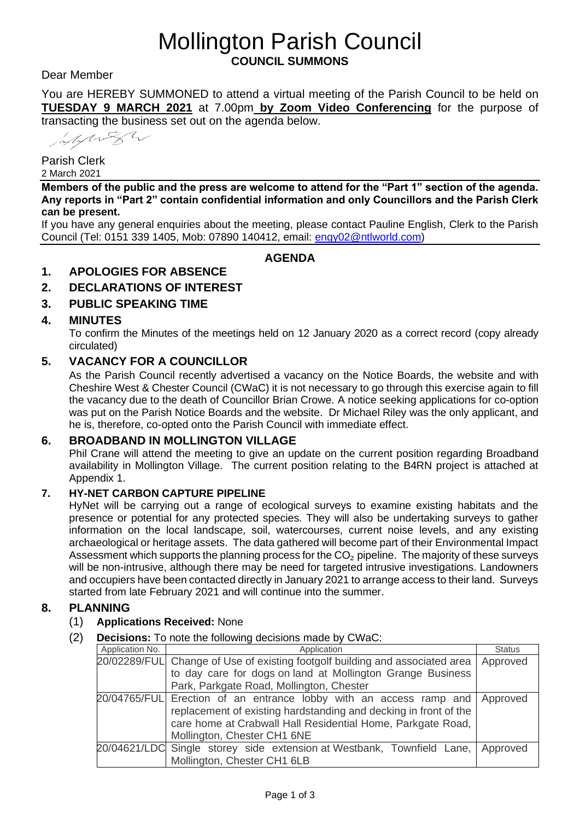# Mollington Parish Council **COUNCIL SUMMONS**

Dear Member

You are HEREBY SUMMONED to attend a virtual meeting of the Parish Council to be held on **TUESDAY 9 MARCH 2021** at 7.00pm **by Zoom Video Conferencing** for the purpose of transacting the business set out on the agenda below.

MANSW

Parish Clerk 2 March 2021

**Members of the public and the press are welcome to attend for the "Part 1" section of the agenda. Any reports in "Part 2" contain confidential information and only Councillors and the Parish Clerk can be present.**

If you have any general enquiries about the meeting, please contact Pauline English, Clerk to the Parish Council (Tel: 0151 339 1405, Mob: 07890 140412, email: [engy02@ntlworld.com\)](mailto:engy02@ntlworld.com)

## **AGENDA**

#### **1. APOLOGIES FOR ABSENCE**

## **2. DECLARATIONS OF INTEREST**

### **3. PUBLIC SPEAKING TIME**

#### **4. MINUTES**

To confirm the Minutes of the meetings held on 12 January 2020 as a correct record (copy already circulated)

#### **5. VACANCY FOR A COUNCILLOR**

As the Parish Council recently advertised a vacancy on the Notice Boards, the website and with Cheshire West & Chester Council (CWaC) it is not necessary to go through this exercise again to fill the vacancy due to the death of Councillor Brian Crowe. A notice seeking applications for co-option was put on the Parish Notice Boards and the website. Dr Michael Riley was the only applicant, and he is, therefore, co-opted onto the Parish Council with immediate effect.

#### **6. BROADBAND IN MOLLINGTON VILLAGE**

Phil Crane will attend the meeting to give an update on the current position regarding Broadband availability in Mollington Village. The current position relating to the B4RN project is attached at Appendix 1.

#### **7. HY-NET CARBON CAPTURE PIPELINE**

HyNet will be carrying out a range of ecological surveys to examine existing habitats and the presence or potential for any protected species. They will also be undertaking surveys to gather information on the local landscape, soil, watercourses, current noise levels, and any existing archaeological or heritage assets. The data gathered will become part of their Environmental Impact Assessment which supports the planning process for the  $CO<sub>2</sub>$  pipeline. The majority of these surveys will be non-intrusive, although there may be need for targeted intrusive investigations. Landowners and occupiers have been contacted directly in January 2021 to arrange access to their land. Surveys started from late February 2021 and will continue into the summer.

#### **8. PLANNING**

#### (1) **Applications Received:** None

(2) **Decisions:** To note the following decisions made by CWaC:

| Application No. | Application                                                                                                                                                                                                                                   | <b>Status</b> |
|-----------------|-----------------------------------------------------------------------------------------------------------------------------------------------------------------------------------------------------------------------------------------------|---------------|
|                 | 20/02289/FUL Change of Use of existing footgolf building and associated area                                                                                                                                                                  | Approved      |
|                 | to day care for dogs on land at Mollington Grange Business                                                                                                                                                                                    |               |
|                 | Park, Parkgate Road, Mollington, Chester                                                                                                                                                                                                      |               |
|                 | 20/04765/FUL Erection of an entrance lobby with an access ramp and Approved<br>replacement of existing hardstanding and decking in front of the<br>care home at Crabwall Hall Residential Home, Parkgate Road,<br>Mollington, Chester CH1 6NE |               |
|                 | 20/04621/LDC Single storey side extension at Westbank, Townfield Lane,   Approved<br>Mollington, Chester CH1 6LB                                                                                                                              |               |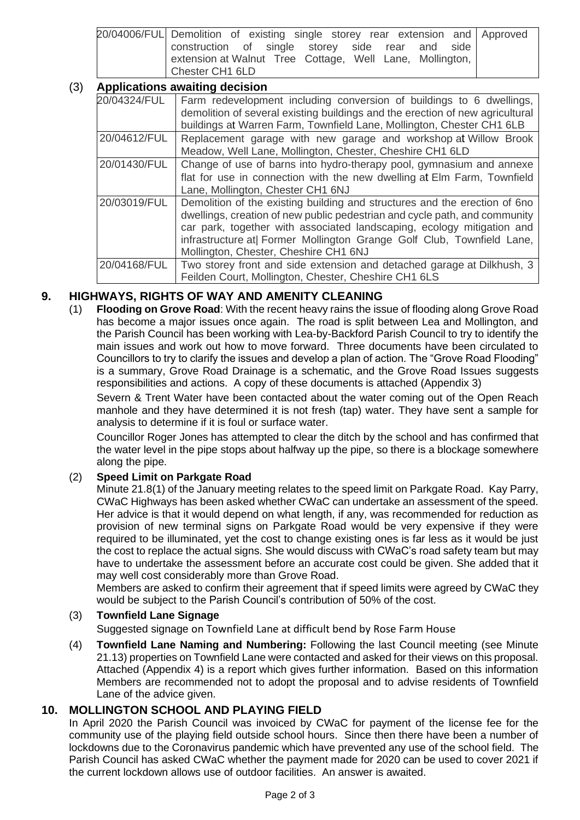| 20/04006/FUL Demolition of existing single storey rear extension and Approved |  |
|-------------------------------------------------------------------------------|--|
| construction of single storey side rear and side                              |  |
| extension at Walnut Tree Cottage, Well Lane, Mollington,                      |  |
| Chester CH1 6LD                                                               |  |

## (3) **Applications awaiting decision**

| <b>Applications awaithig decision</b> |                                                                                                                                                                                                                                                                                                                                                       |  |  |  |
|---------------------------------------|-------------------------------------------------------------------------------------------------------------------------------------------------------------------------------------------------------------------------------------------------------------------------------------------------------------------------------------------------------|--|--|--|
| 20/04324/FUL                          | Farm redevelopment including conversion of buildings to 6 dwellings,<br>demolition of several existing buildings and the erection of new agricultural<br>buildings at Warren Farm, Townfield Lane, Mollington, Chester CH1 6LB                                                                                                                        |  |  |  |
| 20/04612/FUL                          | Replacement garage with new garage and workshop at Willow Brook<br>Meadow, Well Lane, Mollington, Chester, Cheshire CH1 6LD                                                                                                                                                                                                                           |  |  |  |
| 20/01430/FUL                          | Change of use of barns into hydro-therapy pool, gymnasium and annexe<br>flat for use in connection with the new dwelling at Elm Farm, Townfield<br>Lane, Mollington, Chester CH1 6NJ                                                                                                                                                                  |  |  |  |
| 20/03019/FUL                          | Demolition of the existing building and structures and the erection of 6no<br>dwellings, creation of new public pedestrian and cycle path, and community<br>car park, together with associated landscaping, ecology mitigation and<br>infrastructure at  Former Mollington Grange Golf Club, Townfield Lane,<br>Mollington, Chester, Cheshire CH1 6NJ |  |  |  |
| 20/04168/FUL                          | Two storey front and side extension and detached garage at Dilkhush, 3<br>Feilden Court, Mollington, Chester, Cheshire CH1 6LS                                                                                                                                                                                                                        |  |  |  |

## **9. HIGHWAYS, RIGHTS OF WAY AND AMENITY CLEANING**

(1) **Flooding on Grove Road**: With the recent heavy rains the issue of flooding along Grove Road has become a major issues once again. The road is split between Lea and Mollington, and the Parish Council has been working with Lea-by-Backford Parish Council to try to identify the main issues and work out how to move forward. Three documents have been circulated to Councillors to try to clarify the issues and develop a plan of action. The "Grove Road Flooding" is a summary, Grove Road Drainage is a schematic, and the Grove Road Issues suggests responsibilities and actions. A copy of these documents is attached (Appendix 3)

Severn & Trent Water have been contacted about the water coming out of the Open Reach manhole and they have determined it is not fresh (tap) water. They have sent a sample for analysis to determine if it is foul or surface water.

Councillor Roger Jones has attempted to clear the ditch by the school and has confirmed that the water level in the pipe stops about halfway up the pipe, so there is a blockage somewhere along the pipe.

#### (2) **Speed Limit on Parkgate Road**

Minute 21.8(1) of the January meeting relates to the speed limit on Parkgate Road. Kay Parry, CWaC Highways has been asked whether CWaC can undertake an assessment of the speed. Her advice is that it would depend on what length, if any, was recommended for reduction as provision of new terminal signs on Parkgate Road would be very expensive if they were required to be illuminated, yet the cost to change existing ones is far less as it would be just the cost to replace the actual signs. She would discuss with CWaC's road safety team but may have to undertake the assessment before an accurate cost could be given. She added that it may well cost considerably more than Grove Road.

Members are asked to confirm their agreement that if speed limits were agreed by CWaC they would be subject to the Parish Council's contribution of 50% of the cost.

#### (3) **Townfield Lane Signage**

Suggested signage on Townfield Lane at difficult bend by Rose Farm House

(4) **Townfield Lane Naming and Numbering:** Following the last Council meeting (see Minute 21.13) properties on Townfield Lane were contacted and asked for their views on this proposal. Attached (Appendix 4) is a report which gives further information. Based on this information Members are recommended not to adopt the proposal and to advise residents of Townfield Lane of the advice given.

## **10. MOLLINGTON SCHOOL AND PLAYING FIELD**

In April 2020 the Parish Council was invoiced by CWaC for payment of the license fee for the community use of the playing field outside school hours. Since then there have been a number of lockdowns due to the Coronavirus pandemic which have prevented any use of the school field. The Parish Council has asked CWaC whether the payment made for 2020 can be used to cover 2021 if the current lockdown allows use of outdoor facilities. An answer is awaited.